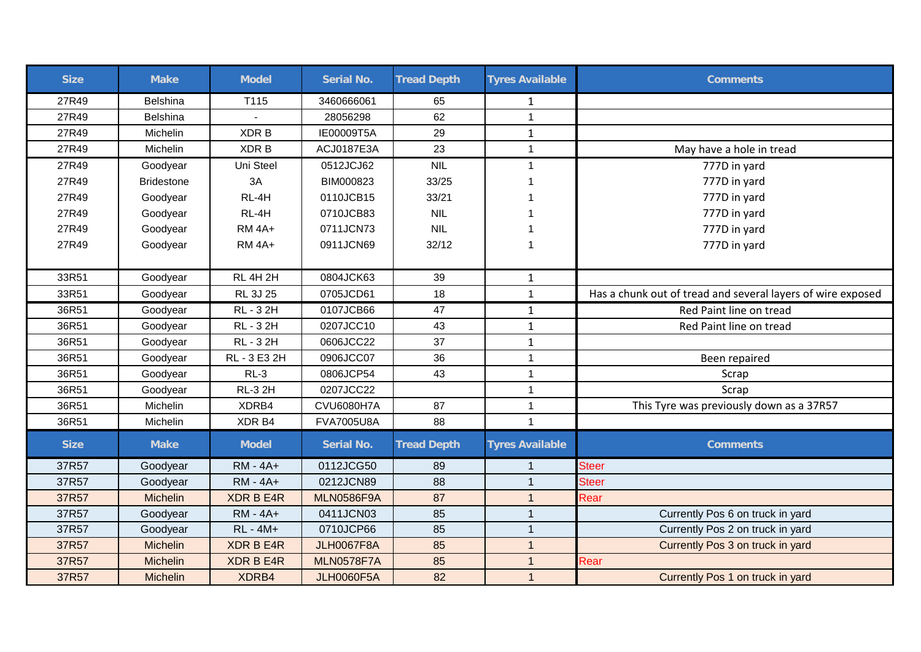| <b>Size</b> | <b>Make</b>       | <b>Model</b>     | <b>Serial No.</b> | <b>Tread Depth</b> | <b>Tyres Available</b> | <b>Comments</b>                                             |
|-------------|-------------------|------------------|-------------------|--------------------|------------------------|-------------------------------------------------------------|
| 27R49       | <b>Belshina</b>   | T115             | 3460666061        | 65                 | 1                      |                                                             |
| 27R49       | <b>Belshina</b>   |                  | 28056298          | 62                 | $\mathbf{1}$           |                                                             |
| 27R49       | Michelin          | XDR B            | IE00009T5A        | 29                 | $\mathbf{1}$           |                                                             |
| 27R49       | Michelin          | XDR B            | ACJ0187E3A        | 23                 | $\mathbf{1}$           | May have a hole in tread                                    |
| 27R49       | Goodyear          | Uni Steel        | 0512JCJ62         | <b>NIL</b>         | $\mathbf{1}$           | 777D in yard                                                |
| 27R49       | <b>Bridestone</b> | 3A               | BIM000823         | 33/25              |                        | 777D in yard                                                |
| 27R49       | Goodyear          | RL-4H            | 0110JCB15         | 33/21              |                        | 777D in yard                                                |
| 27R49       | Goodyear          | RL-4H            | 0710JCB83         | <b>NIL</b>         |                        | 777D in yard                                                |
| 27R49       | Goodyear          | <b>RM 4A+</b>    | 0711JCN73         | <b>NIL</b>         | 1                      | 777D in yard                                                |
| 27R49       | Goodyear          | <b>RM 4A+</b>    | 0911JCN69         | 32/12              | $\overline{1}$         | 777D in yard                                                |
|             |                   |                  |                   |                    |                        |                                                             |
| 33R51       | Goodyear          | <b>RL 4H 2H</b>  | 0804JCK63         | 39                 | $\mathbf{1}$           |                                                             |
| 33R51       | Goodyear          | <b>RL 3J 25</b>  | 0705JCD61         | 18                 | $\mathbf{1}$           | Has a chunk out of tread and several layers of wire exposed |
| 36R51       | Goodyear          | RL - 3 2H        | 0107JCB66         | 47                 | $\mathbf{1}$           | Red Paint line on tread                                     |
| 36R51       | Goodyear          | RL - 3 2H        | 0207JCC10         | 43                 | $\mathbf{1}$           | Red Paint line on tread                                     |
| 36R51       | Goodyear          | RL - 3 2H        | 0606JCC22         | 37                 | $\mathbf{1}$           |                                                             |
| 36R51       | Goodyear          | RL - 3 E3 2H     | 0906JCC07         | 36                 | $\mathbf{1}$           | Been repaired                                               |
| 36R51       | Goodyear          | $RL-3$           | 0806JCP54         | 43                 | $\mathbf{1}$           | Scrap                                                       |
| 36R51       | Goodyear          | <b>RL-3 2H</b>   | 0207JCC22         |                    | $\mathbf{1}$           | Scrap                                                       |
| 36R51       | Michelin          | XDRB4            | <b>CVU6080H7A</b> | 87                 | $\mathbf{1}$           | This Tyre was previously down as a 37R57                    |
| 36R51       | Michelin          | XDR B4           | <b>FVA7005U8A</b> | 88                 | $\mathbf{1}$           |                                                             |
| <b>Size</b> | <b>Make</b>       | <b>Model</b>     | <b>Serial No.</b> | <b>Tread Depth</b> | <b>Tyres Available</b> | <b>Comments</b>                                             |
| 37R57       | Goodyear          | <b>RM - 4A+</b>  | 0112JCG50         | 89                 | -1                     | <b>Steer</b>                                                |
| 37R57       | Goodyear          | <b>RM - 4A+</b>  | 0212JCN89         | 88                 | $\overline{1}$         | <b>Steer</b>                                                |
| 37R57       | <b>Michelin</b>   | <b>XDR B E4R</b> | <b>MLN0586F9A</b> | 87                 | $\overline{1}$         | Rear                                                        |
| 37R57       | Goodyear          | <b>RM - 4A+</b>  | 0411JCN03         | 85                 | $\overline{1}$         | Currently Pos 6 on truck in yard                            |
| 37R57       | Goodyear          | <b>RL</b> - 4M+  | 0710JCP66         | 85                 | $\overline{1}$         | Currently Pos 2 on truck in yard                            |
| 37R57       | Michelin          | <b>XDR B E4R</b> | <b>JLH0067F8A</b> | 85                 | $\overline{1}$         | Currently Pos 3 on truck in yard                            |
| 37R57       | Michelin          | <b>XDR B E4R</b> | <b>MLN0578F7A</b> | 85                 | $\mathbf{1}$           | Rear                                                        |
| 37R57       | Michelin          | XDRB4            | <b>JLH0060F5A</b> | 82                 | $\overline{1}$         | Currently Pos 1 on truck in yard                            |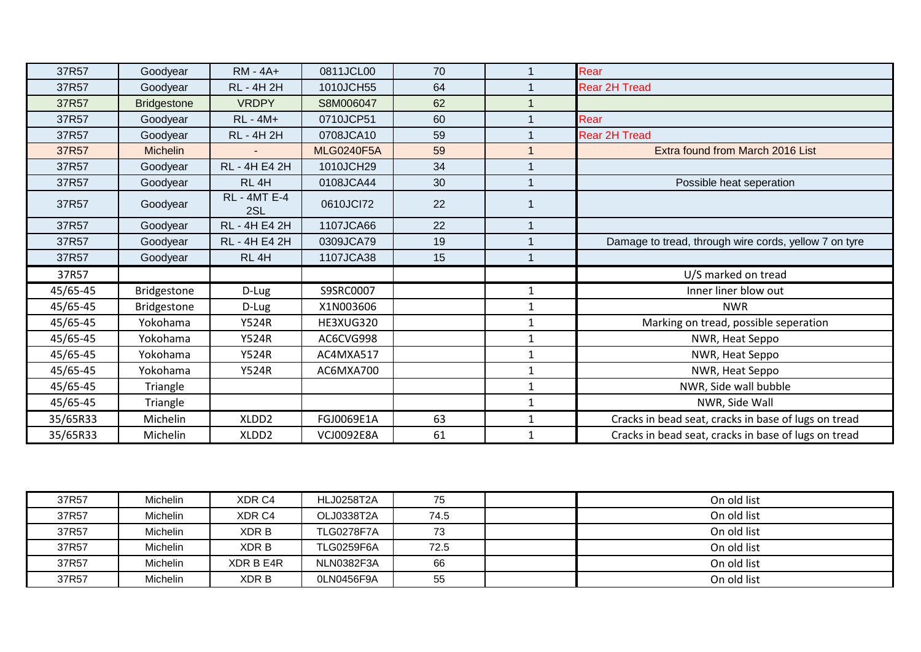| 37R57    | Goodyear           | <b>RM - 4A+</b>            | 0811JCL00         | 70 | $\overline{1}$ | Rear                                                  |
|----------|--------------------|----------------------------|-------------------|----|----------------|-------------------------------------------------------|
| 37R57    | Goodyear           | <b>RL - 4H 2H</b>          | 1010JCH55         | 64 |                | <b>Rear 2H Tread</b>                                  |
| 37R57    | <b>Bridgestone</b> | <b>VRDPY</b>               | S8M006047         | 62 |                |                                                       |
| 37R57    | Goodyear           | <b>RL</b> - 4M+            | 0710JCP51         | 60 |                | Rear                                                  |
| 37R57    | Goodyear           | <b>RL - 4H 2H</b>          | 0708JCA10         | 59 |                | <b>Rear 2H Tread</b>                                  |
| 37R57    | <b>Michelin</b>    |                            | <b>MLG0240F5A</b> | 59 |                | Extra found from March 2016 List                      |
| 37R57    | Goodyear           | RL - 4H E4 2H              | 1010JCH29         | 34 |                |                                                       |
| 37R57    | Goodyear           | RL <sub>4H</sub>           | 0108JCA44         | 30 | 1              | Possible heat seperation                              |
| 37R57    | Goodyear           | <b>RL - 4MT E-4</b><br>2SL | 0610JCl72         | 22 |                |                                                       |
| 37R57    | Goodyear           | RL - 4H E4 2H              | 1107JCA66         | 22 | 1              |                                                       |
| 37R57    | Goodyear           | RL - 4H E4 2H              | 0309JCA79         | 19 | 1              | Damage to tread, through wire cords, yellow 7 on tyre |
| 37R57    | Goodyear           | RL <sub>4H</sub>           | 1107JCA38         | 15 | 1              |                                                       |
| 37R57    |                    |                            |                   |    |                | U/S marked on tread                                   |
| 45/65-45 | Bridgestone        | D-Lug                      | S9SRC0007         |    | $\mathbf{1}$   | Inner liner blow out                                  |
| 45/65-45 | Bridgestone        | D-Lug                      | X1N003606         |    | $\mathbf{1}$   | <b>NWR</b>                                            |
| 45/65-45 | Yokohama           | <b>Y524R</b>               | HE3XUG320         |    | 1              | Marking on tread, possible seperation                 |
| 45/65-45 | Yokohama           | <b>Y524R</b>               | AC6CVG998         |    | $\overline{1}$ | NWR, Heat Seppo                                       |
| 45/65-45 | Yokohama           | <b>Y524R</b>               | AC4MXA517         |    | $\mathbf{1}$   | NWR, Heat Seppo                                       |
| 45/65-45 | Yokohama           | <b>Y524R</b>               | AC6MXA700         |    | 1              | NWR, Heat Seppo                                       |
| 45/65-45 | Triangle           |                            |                   |    | 1              | NWR, Side wall bubble                                 |
| 45/65-45 | Triangle           |                            |                   |    | $\mathbf{1}$   | NWR, Side Wall                                        |
| 35/65R33 | Michelin           | XLDD <sub>2</sub>          | FGJ0069E1A        | 63 | $\mathbf{1}$   | Cracks in bead seat, cracks in base of lugs on tread  |
| 35/65R33 | Michelin           | XLDD <sub>2</sub>          | <b>VCJ0092E8A</b> | 61 | $\mathbf{1}$   | Cracks in bead seat, cracks in base of lugs on tread  |

| 37R57 | Michelin        | XDR C4    | <b>HLJ0258T2A</b> | 75   | On old list |
|-------|-----------------|-----------|-------------------|------|-------------|
| 37R57 | <b>Michelin</b> | XDR C4    | OLJ0338T2A        | 74.5 | On old list |
| 37R57 | <b>Michelin</b> | XDR B     | <b>TLG0278F7A</b> | 73   | On old list |
| 37R57 | <b>Michelin</b> | XDR B     | <b>TLG0259F6A</b> | 72.5 | On old list |
| 37R57 | <b>Michelin</b> | XDR B E4R | NLN0382F3A        | 66   | On old list |
| 37R57 | Michelin        | XDR B     | 0LN0456F9A        | 55   | On old list |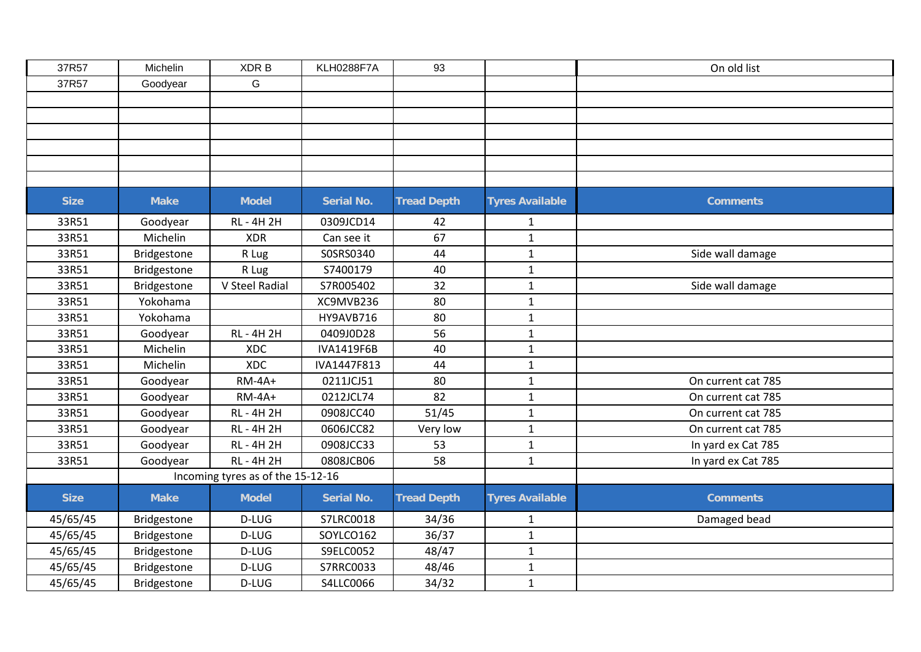| 37R57       | Michelin           | XDR B                             | <b>KLH0288F7A</b> | 93                 |                        | On old list        |
|-------------|--------------------|-----------------------------------|-------------------|--------------------|------------------------|--------------------|
| 37R57       | Goodyear           | G                                 |                   |                    |                        |                    |
|             |                    |                                   |                   |                    |                        |                    |
|             |                    |                                   |                   |                    |                        |                    |
|             |                    |                                   |                   |                    |                        |                    |
|             |                    |                                   |                   |                    |                        |                    |
|             |                    |                                   |                   |                    |                        |                    |
|             |                    |                                   |                   |                    |                        |                    |
| <b>Size</b> | <b>Make</b>        | <b>Model</b>                      | <b>Serial No.</b> | <b>Tread Depth</b> | <b>Tyres Available</b> | <b>Comments</b>    |
| 33R51       | Goodyear           | <b>RL-4H2H</b>                    | 0309JCD14         | 42                 | $\mathbf{1}$           |                    |
| 33R51       | Michelin           | <b>XDR</b>                        | Can see it        | 67                 | $\mathbf{1}$           |                    |
| 33R51       | Bridgestone        | R Lug                             | S0SRS0340         | 44                 | $\mathbf{1}$           | Side wall damage   |
| 33R51       | Bridgestone        | R Lug                             | S7400179          | 40                 | $\mathbf{1}$           |                    |
| 33R51       | Bridgestone        | V Steel Radial                    | S7R005402         | 32                 | $\mathbf 1$            | Side wall damage   |
| 33R51       | Yokohama           |                                   | XC9MVB236         | 80                 | $\mathbf 1$            |                    |
| 33R51       | Yokohama           |                                   | HY9AVB716         | 80                 | $\mathbf{1}$           |                    |
| 33R51       | Goodyear           | <b>RL - 4H 2H</b>                 | 0409J0D28         | 56                 | $\mathbf{1}$           |                    |
| 33R51       | Michelin           | <b>XDC</b>                        | IVA1419F6B        | 40                 | $\mathbf 1$            |                    |
| 33R51       | Michelin           | <b>XDC</b>                        | IVA1447F813       | 44                 | $\mathbf 1$            |                    |
| 33R51       | Goodyear           | $RM-4A+$                          | 0211JCJ51         | 80                 | $\mathbf{1}$           | On current cat 785 |
| 33R51       | Goodyear           | $RM-4A+$                          | 0212JCL74         | 82                 | $\mathbf{1}$           | On current cat 785 |
| 33R51       | Goodyear           | <b>RL-4H2H</b>                    | 0908JCC40         | 51/45              | $\mathbf{1}$           | On current cat 785 |
| 33R51       | Goodyear           | <b>RL-4H2H</b>                    | 0606JCC82         | Very low           | $\mathbf{1}$           | On current cat 785 |
| 33R51       | Goodyear           | <b>RL - 4H 2H</b>                 | 0908JCC33         | 53                 | $\mathbf{1}$           | In yard ex Cat 785 |
| 33R51       | Goodyear           | <b>RL-4H2H</b>                    | 0808JCB06         | 58                 | $\mathbf{1}$           | In yard ex Cat 785 |
|             |                    | Incoming tyres as of the 15-12-16 |                   |                    |                        |                    |
| <b>Size</b> | <b>Make</b>        | <b>Model</b>                      | <b>Serial No.</b> | <b>Tread Depth</b> | <b>Tyres Available</b> | <b>Comments</b>    |
| 45/65/45    | Bridgestone        | D-LUG                             | S7LRC0018         | 34/36              | 1                      | Damaged bead       |
| 45/65/45    | Bridgestone        | D-LUG                             | SOYLCO162         | 36/37              | $\mathbf{1}$           |                    |
| 45/65/45    | Bridgestone        | D-LUG                             | S9ELC0052         | 48/47              | $\mathbf{1}$           |                    |
| 45/65/45    | Bridgestone        | D-LUG                             | S7RRC0033         | 48/46              | $\mathbf{1}$           |                    |
| 45/65/45    | <b>Bridgestone</b> | D-LUG                             | S4LLC0066         | 34/32              | $\mathbf{1}$           |                    |